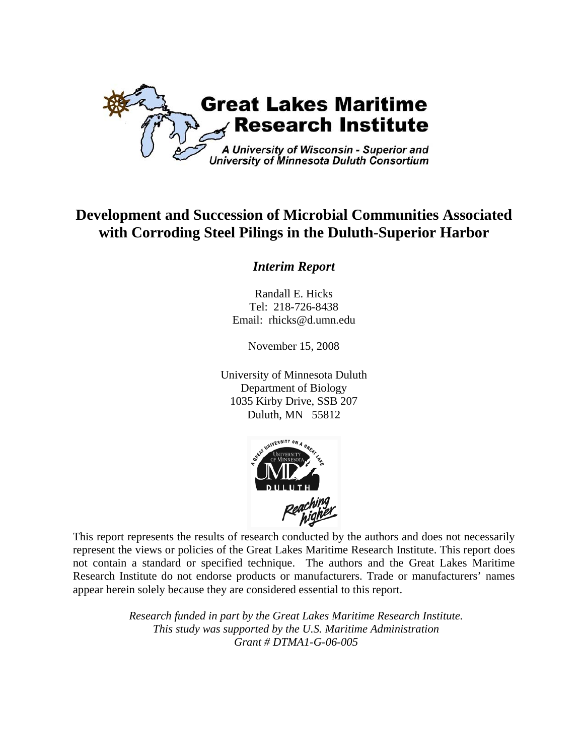

# **Development and Succession of Microbial Communities Associated with Corroding Steel Pilings in the Duluth-Superior Harbor**

## *Interim Report*

Randall E. Hicks Tel: 218-726-8438 Email: rhicks@d.umn.edu

November 15, 2008

University of Minnesota Duluth Department of Biology 1035 Kirby Drive, SSB 207 Duluth, MN 55812



This report represents the results of research conducted by the authors and does not necessarily represent the views or policies of the Great Lakes Maritime Research Institute. This report does not contain a standard or specified technique. The authors and the Great Lakes Maritime Research Institute do not endorse products or manufacturers. Trade or manufacturers' names appear herein solely because they are considered essential to this report.

> *Research funded in part by the Great Lakes Maritime Research Institute. This study was supported by the U.S. Maritime Administration Grant # DTMA1-G-06-005*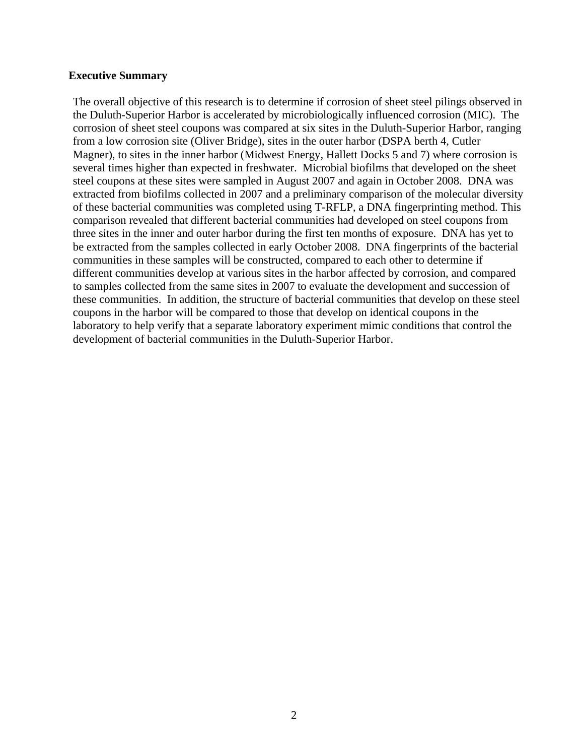#### **Executive Summary**

The overall objective of this research is to determine if corrosion of sheet steel pilings observed in the Duluth-Superior Harbor is accelerated by microbiologically influenced corrosion (MIC). The corrosion of sheet steel coupons was compared at six sites in the Duluth-Superior Harbor, ranging from a low corrosion site (Oliver Bridge), sites in the outer harbor (DSPA berth 4, Cutler Magner), to sites in the inner harbor (Midwest Energy, Hallett Docks 5 and 7) where corrosion is several times higher than expected in freshwater. Microbial biofilms that developed on the sheet steel coupons at these sites were sampled in August 2007 and again in October 2008. DNA was extracted from biofilms collected in 2007 and a preliminary comparison of the molecular diversity of these bacterial communities was completed using T-RFLP, a DNA fingerprinting method. This comparison revealed that different bacterial communities had developed on steel coupons from three sites in the inner and outer harbor during the first ten months of exposure. DNA has yet to be extracted from the samples collected in early October 2008. DNA fingerprints of the bacterial communities in these samples will be constructed, compared to each other to determine if different communities develop at various sites in the harbor affected by corrosion, and compared to samples collected from the same sites in 2007 to evaluate the development and succession of these communities. In addition, the structure of bacterial communities that develop on these steel coupons in the harbor will be compared to those that develop on identical coupons in the laboratory to help verify that a separate laboratory experiment mimic conditions that control the development of bacterial communities in the Duluth-Superior Harbor.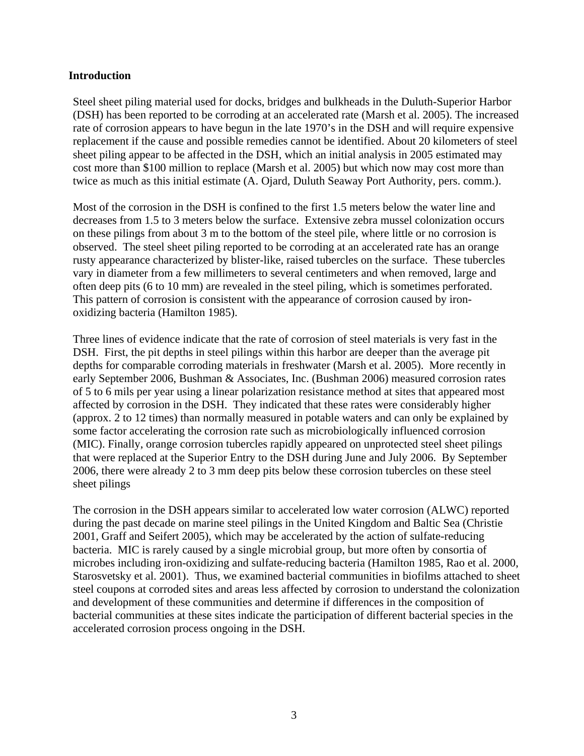#### **Introduction**

Steel sheet piling material used for docks, bridges and bulkheads in the Duluth-Superior Harbor (DSH) has been reported to be corroding at an accelerated rate (Marsh et al. 2005). The increased rate of corrosion appears to have begun in the late 1970's in the DSH and will require expensive replacement if the cause and possible remedies cannot be identified. About 20 kilometers of steel sheet piling appear to be affected in the DSH, which an initial analysis in 2005 estimated may cost more than \$100 million to replace (Marsh et al. 2005) but which now may cost more than twice as much as this initial estimate (A. Ojard, Duluth Seaway Port Authority, pers. comm.).

Most of the corrosion in the DSH is confined to the first 1.5 meters below the water line and decreases from 1.5 to 3 meters below the surface. Extensive zebra mussel colonization occurs on these pilings from about 3 m to the bottom of the steel pile, where little or no corrosion is observed. The steel sheet piling reported to be corroding at an accelerated rate has an orange rusty appearance characterized by blister-like, raised tubercles on the surface. These tubercles vary in diameter from a few millimeters to several centimeters and when removed, large and often deep pits (6 to 10 mm) are revealed in the steel piling, which is sometimes perforated. This pattern of corrosion is consistent with the appearance of corrosion caused by ironoxidizing bacteria (Hamilton 1985).

Three lines of evidence indicate that the rate of corrosion of steel materials is very fast in the DSH. First, the pit depths in steel pilings within this harbor are deeper than the average pit depths for comparable corroding materials in freshwater (Marsh et al. 2005). More recently in early September 2006, Bushman & Associates, Inc. (Bushman 2006) measured corrosion rates of 5 to 6 mils per year using a linear polarization resistance method at sites that appeared most affected by corrosion in the DSH. They indicated that these rates were considerably higher (approx. 2 to 12 times) than normally measured in potable waters and can only be explained by some factor accelerating the corrosion rate such as microbiologically influenced corrosion (MIC). Finally, orange corrosion tubercles rapidly appeared on unprotected steel sheet pilings that were replaced at the Superior Entry to the DSH during June and July 2006. By September 2006, there were already 2 to 3 mm deep pits below these corrosion tubercles on these steel sheet pilings

The corrosion in the DSH appears similar to accelerated low water corrosion (ALWC) reported during the past decade on marine steel pilings in the United Kingdom and Baltic Sea (Christie 2001, Graff and Seifert 2005), which may be accelerated by the action of sulfate-reducing bacteria. MIC is rarely caused by a single microbial group, but more often by consortia of microbes including iron-oxidizing and sulfate-reducing bacteria (Hamilton 1985, Rao et al. 2000, Starosvetsky et al. 2001). Thus, we examined bacterial communities in biofilms attached to sheet steel coupons at corroded sites and areas less affected by corrosion to understand the colonization and development of these communities and determine if differences in the composition of bacterial communities at these sites indicate the participation of different bacterial species in the accelerated corrosion process ongoing in the DSH.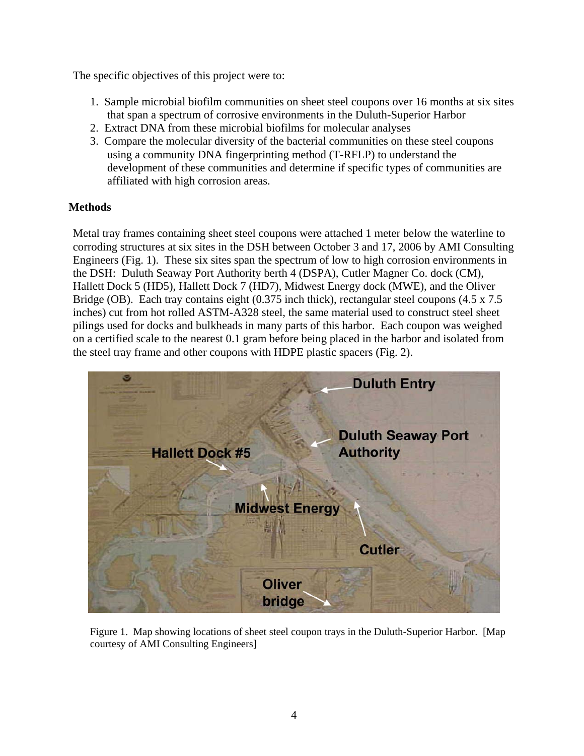The specific objectives of this project were to:

- 1. Sample microbial biofilm communities on sheet steel coupons over 16 months at six sites that span a spectrum of corrosive environments in the Duluth-Superior Harbor
- 2. Extract DNA from these microbial biofilms for molecular analyses
- 3. Compare the molecular diversity of the bacterial communities on these steel coupons using a community DNA fingerprinting method (T-RFLP) to understand the development of these communities and determine if specific types of communities are affiliated with high corrosion areas.

## **Methods**

Metal tray frames containing sheet steel coupons were attached 1 meter below the waterline to corroding structures at six sites in the DSH between October 3 and 17, 2006 by AMI Consulting Engineers (Fig. 1). These six sites span the spectrum of low to high corrosion environments in the DSH: Duluth Seaway Port Authority berth 4 (DSPA), Cutler Magner Co. dock (CM), Hallett Dock 5 (HD5), Hallett Dock 7 (HD7), Midwest Energy dock (MWE), and the Oliver Bridge (OB). Each tray contains eight (0.375 inch thick), rectangular steel coupons (4.5 x 7.5) inches) cut from hot rolled ASTM-A328 steel, the same material used to construct steel sheet pilings used for docks and bulkheads in many parts of this harbor. Each coupon was weighed on a certified scale to the nearest 0.1 gram before being placed in the harbor and isolated from the steel tray frame and other coupons with HDPE plastic spacers (Fig. 2).



Figure 1. Map showing locations of sheet steel coupon trays in the Duluth-Superior Harbor. [Map courtesy of AMI Consulting Engineers]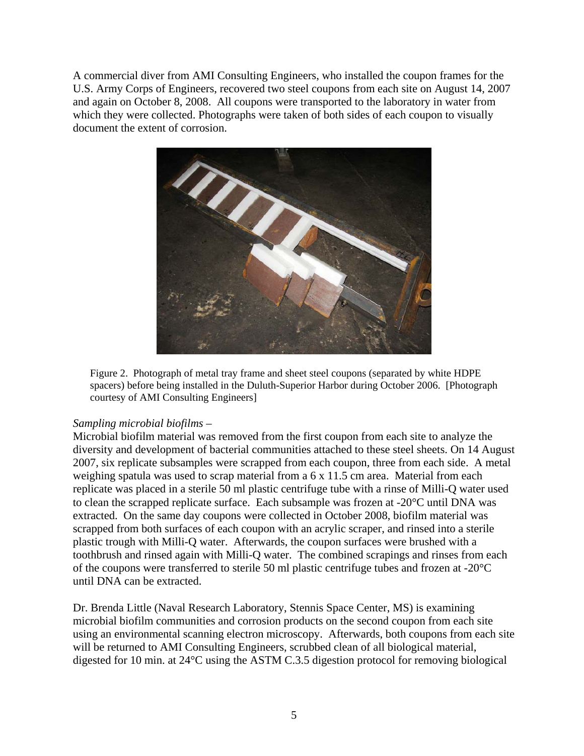A commercial diver from AMI Consulting Engineers, who installed the coupon frames for the U.S. Army Corps of Engineers, recovered two steel coupons from each site on August 14, 2007 and again on October 8, 2008. All coupons were transported to the laboratory in water from which they were collected. Photographs were taken of both sides of each coupon to visually document the extent of corrosion.



Figure 2. Photograph of metal tray frame and sheet steel coupons (separated by white HDPE spacers) before being installed in the Duluth-Superior Harbor during October 2006. [Photograph courtesy of AMI Consulting Engineers]

## *Sampling microbial biofilms –*

Microbial biofilm material was removed from the first coupon from each site to analyze the diversity and development of bacterial communities attached to these steel sheets. On 14 August 2007, six replicate subsamples were scrapped from each coupon, three from each side. A metal weighing spatula was used to scrap material from a 6 x 11.5 cm area. Material from each replicate was placed in a sterile 50 ml plastic centrifuge tube with a rinse of Milli-Q water used to clean the scrapped replicate surface. Each subsample was frozen at -20°C until DNA was extracted. On the same day coupons were collected in October 2008, biofilm material was scrapped from both surfaces of each coupon with an acrylic scraper, and rinsed into a sterile plastic trough with Milli-Q water. Afterwards, the coupon surfaces were brushed with a toothbrush and rinsed again with Milli-Q water. The combined scrapings and rinses from each of the coupons were transferred to sterile 50 ml plastic centrifuge tubes and frozen at -20°C until DNA can be extracted.

Dr. Brenda Little (Naval Research Laboratory, Stennis Space Center, MS) is examining microbial biofilm communities and corrosion products on the second coupon from each site using an environmental scanning electron microscopy. Afterwards, both coupons from each site will be returned to AMI Consulting Engineers, scrubbed clean of all biological material, digested for 10 min. at 24°C using the ASTM C.3.5 digestion protocol for removing biological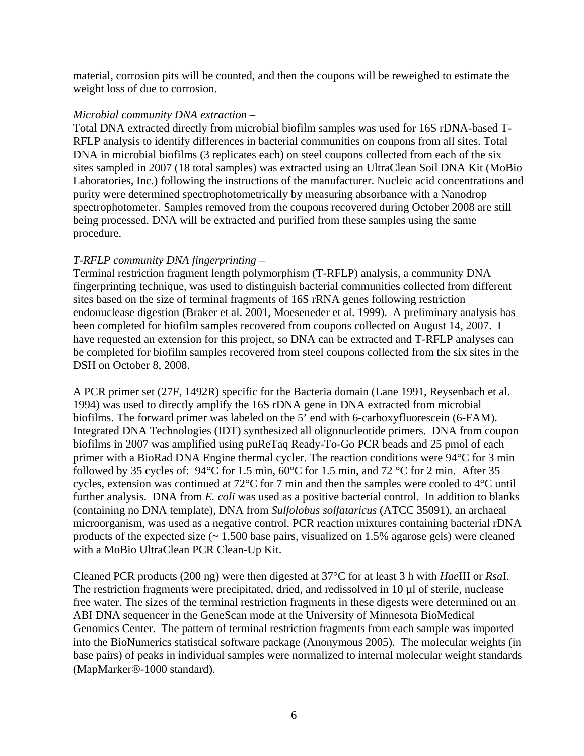material, corrosion pits will be counted, and then the coupons will be reweighed to estimate the weight loss of due to corrosion.

## *Microbial community DNA extraction –*

Total DNA extracted directly from microbial biofilm samples was used for 16S rDNA-based T-RFLP analysis to identify differences in bacterial communities on coupons from all sites. Total DNA in microbial biofilms (3 replicates each) on steel coupons collected from each of the six sites sampled in 2007 (18 total samples) was extracted using an UltraClean Soil DNA Kit (MoBio Laboratories, Inc.) following the instructions of the manufacturer. Nucleic acid concentrations and purity were determined spectrophotometrically by measuring absorbance with a Nanodrop spectrophotometer. Samples removed from the coupons recovered during October 2008 are still being processed. DNA will be extracted and purified from these samples using the same procedure.

## *T-RFLP community DNA fingerprinting –*

Terminal restriction fragment length polymorphism (T-RFLP) analysis, a community DNA fingerprinting technique, was used to distinguish bacterial communities collected from different sites based on the size of terminal fragments of 16S rRNA genes following restriction endonuclease digestion (Braker et al. 2001, Moeseneder et al. 1999). A preliminary analysis has been completed for biofilm samples recovered from coupons collected on August 14, 2007. I have requested an extension for this project, so DNA can be extracted and T-RFLP analyses can be completed for biofilm samples recovered from steel coupons collected from the six sites in the DSH on October 8, 2008.

A PCR primer set (27F, 1492R) specific for the Bacteria domain (Lane 1991, Reysenbach et al. 1994) was used to directly amplify the 16S rDNA gene in DNA extracted from microbial biofilms. The forward primer was labeled on the 5' end with 6-carboxyfluorescein (6-FAM). Integrated DNA Technologies (IDT) synthesized all oligonucleotide primers. DNA from coupon biofilms in 2007 was amplified using puReTaq Ready-To-Go PCR beads and 25 pmol of each primer with a BioRad DNA Engine thermal cycler. The reaction conditions were 94°C for 3 min followed by 35 cycles of: 94°C for 1.5 min, 60°C for 1.5 min, and 72 °C for 2 min. After 35 cycles, extension was continued at 72°C for 7 min and then the samples were cooled to 4°C until further analysis. DNA from *E. coli* was used as a positive bacterial control. In addition to blanks (containing no DNA template), DNA from *Sulfolobus solfataricus* (ATCC 35091), an archaeal microorganism, was used as a negative control. PCR reaction mixtures containing bacterial rDNA products of the expected size (~ 1,500 base pairs, visualized on 1.5% agarose gels) were cleaned with a MoBio UltraClean PCR Clean-Up Kit.

Cleaned PCR products (200 ng) were then digested at 37°C for at least 3 h with *Hae*III or *Rsa*I. The restriction fragments were precipitated, dried, and redissolved in 10  $\mu$ l of sterile, nuclease free water. The sizes of the terminal restriction fragments in these digests were determined on an ABI DNA sequencer in the GeneScan mode at the University of Minnesota BioMedical Genomics Center. The pattern of terminal restriction fragments from each sample was imported into the BioNumerics statistical software package (Anonymous 2005). The molecular weights (in base pairs) of peaks in individual samples were normalized to internal molecular weight standards (MapMarker®-1000 standard).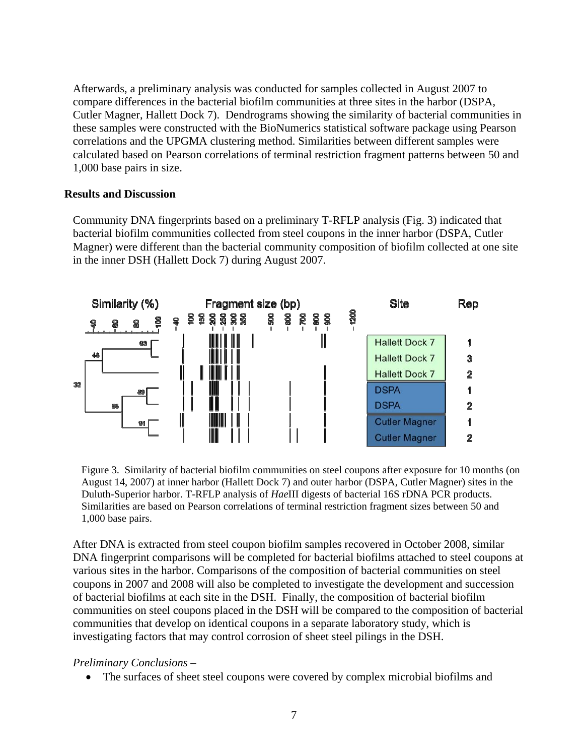Afterwards, a preliminary analysis was conducted for samples collected in August 2007 to compare differences in the bacterial biofilm communities at three sites in the harbor (DSPA, Cutler Magner, Hallett Dock 7). Dendrograms showing the similarity of bacterial communities in these samples were constructed with the BioNumerics statistical software package using Pearson correlations and the UPGMA clustering method. Similarities between different samples were calculated based on Pearson correlations of terminal restriction fragment patterns between 50 and 1,000 base pairs in size.

## **Results and Discussion**

Community DNA fingerprints based on a preliminary T-RFLP analysis (Fig. 3) indicated that bacterial biofilm communities collected from steel coupons in the inner harbor (DSPA, Cutler Magner) were different than the bacterial community composition of biofilm collected at one site in the inner DSH (Hallett Dock 7) during August 2007.



Figure 3. Similarity of bacterial biofilm communities on steel coupons after exposure for 10 months (on August 14, 2007) at inner harbor (Hallett Dock 7) and outer harbor (DSPA, Cutler Magner) sites in the Duluth-Superior harbor. T-RFLP analysis of *Hae*III digests of bacterial 16S rDNA PCR products. Similarities are based on Pearson correlations of terminal restriction fragment sizes between 50 and 1,000 base pairs.

After DNA is extracted from steel coupon biofilm samples recovered in October 2008, similar DNA fingerprint comparisons will be completed for bacterial biofilms attached to steel coupons at various sites in the harbor. Comparisons of the composition of bacterial communities on steel coupons in 2007 and 2008 will also be completed to investigate the development and succession of bacterial biofilms at each site in the DSH. Finally, the composition of bacterial biofilm communities on steel coupons placed in the DSH will be compared to the composition of bacterial communities that develop on identical coupons in a separate laboratory study, which is investigating factors that may control corrosion of sheet steel pilings in the DSH.

*Preliminary Conclusions –* 

• The surfaces of sheet steel coupons were covered by complex microbial biofilms and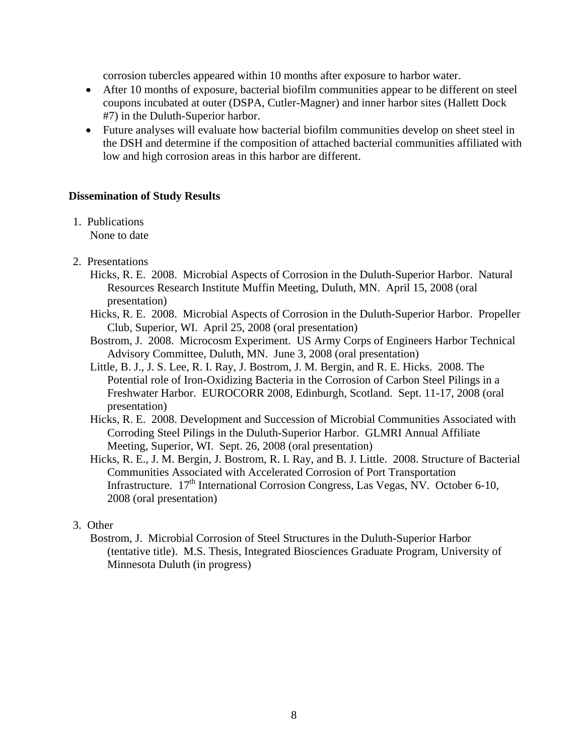corrosion tubercles appeared within 10 months after exposure to harbor water.

- After 10 months of exposure, bacterial biofilm communities appear to be different on steel coupons incubated at outer (DSPA, Cutler-Magner) and inner harbor sites (Hallett Dock #7) in the Duluth-Superior harbor.
- Future analyses will evaluate how bacterial biofilm communities develop on sheet steel in the DSH and determine if the composition of attached bacterial communities affiliated with low and high corrosion areas in this harbor are different.

## **Dissemination of Study Results**

1. Publications

None to date

- 2. Presentations
	- Hicks, R. E. 2008. Microbial Aspects of Corrosion in the Duluth-Superior Harbor. Natural Resources Research Institute Muffin Meeting, Duluth, MN. April 15, 2008 (oral presentation)
	- Hicks, R. E. 2008. Microbial Aspects of Corrosion in the Duluth-Superior Harbor. Propeller Club, Superior, WI. April 25, 2008 (oral presentation)
	- Bostrom, J. 2008. Microcosm Experiment. US Army Corps of Engineers Harbor Technical Advisory Committee, Duluth, MN. June 3, 2008 (oral presentation)
	- Little, B. J., J. S. Lee, R. I. Ray, J. Bostrom, J. M. Bergin, and R. E. Hicks. 2008. The Potential role of Iron-Oxidizing Bacteria in the Corrosion of Carbon Steel Pilings in a Freshwater Harbor. EUROCORR 2008, Edinburgh, Scotland. Sept. 11-17, 2008 (oral presentation)
	- Hicks, R. E. 2008. Development and Succession of Microbial Communities Associated with Corroding Steel Pilings in the Duluth-Superior Harbor. GLMRI Annual Affiliate Meeting, Superior, WI. Sept. 26, 2008 (oral presentation)
	- Hicks, R. E., J. M. Bergin, J. Bostrom, R. I. Ray, and B. J. Little. 2008. Structure of Bacterial Communities Associated with Accelerated Corrosion of Port Transportation Infrastructure.  $17<sup>th</sup>$  International Corrosion Congress, Las Vegas, NV. October 6-10, 2008 (oral presentation)

## 3. Other

Bostrom, J. Microbial Corrosion of Steel Structures in the Duluth-Superior Harbor (tentative title). M.S. Thesis, Integrated Biosciences Graduate Program, University of Minnesota Duluth (in progress)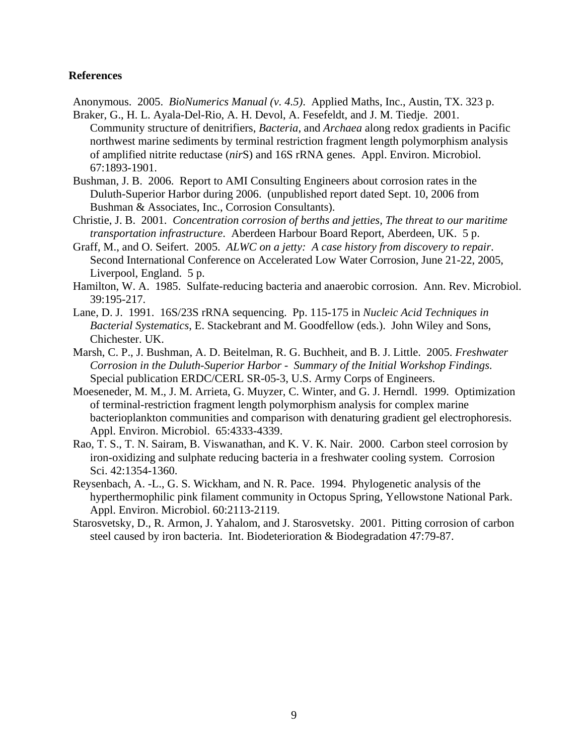#### **References**

Anonymous. 2005. *BioNumerics Manual (v. 4.5)*. Applied Maths, Inc., Austin, TX. 323 p. Braker, G., H. L. Ayala-Del-Rio, A. H. Devol, A. Fesefeldt, and J. M. Tiedje. 2001.

- Community structure of denitrifiers, *Bacteria*, and *Archaea* along redox gradients in Pacific northwest marine sediments by terminal restriction fragment length polymorphism analysis of amplified nitrite reductase (*nir*S) and 16S rRNA genes. Appl. Environ. Microbiol. 67:1893-1901.
- Bushman, J. B. 2006. Report to AMI Consulting Engineers about corrosion rates in the Duluth-Superior Harbor during 2006. (unpublished report dated Sept. 10, 2006 from Bushman & Associates, Inc., Corrosion Consultants).
- Christie, J. B. 2001. *Concentration corrosion of berths and jetties, The threat to our maritime transportation infrastructure*. Aberdeen Harbour Board Report, Aberdeen, UK. 5 p.
- Graff, M., and O. Seifert. 2005. *ALWC on a jetty: A case history from discovery to repair*. Second International Conference on Accelerated Low Water Corrosion, June 21-22, 2005, Liverpool, England. 5 p.
- Hamilton, W. A. 1985. Sulfate-reducing bacteria and anaerobic corrosion. Ann. Rev. Microbiol. 39:195-217.
- Lane, D. J. 1991. 16S/23S rRNA sequencing. Pp. 115-175 in *Nucleic Acid Techniques in Bacterial Systematics*, E. Stackebrant and M. Goodfellow (eds.). John Wiley and Sons, Chichester. UK.
- Marsh, C. P., J. Bushman, A. D. Beitelman, R. G. Buchheit, and B. J. Little. 2005. *Freshwater Corrosion in the Duluth-Superior Harbor - Summary of the Initial Workshop Findings*. Special publication ERDC/CERL SR-05-3, U.S. Army Corps of Engineers.
- Moeseneder, M. M., J. M. Arrieta, G. Muyzer, C. Winter, and G. J. Herndl. 1999. Optimization of terminal-restriction fragment length polymorphism analysis for complex marine bacterioplankton communities and comparison with denaturing gradient gel electrophoresis. Appl. Environ. Microbiol. 65:4333-4339.
- Rao, T. S., T. N. Sairam, B. Viswanathan, and K. V. K. Nair. 2000. Carbon steel corrosion by iron-oxidizing and sulphate reducing bacteria in a freshwater cooling system. Corrosion Sci. 42:1354-1360.
- Reysenbach, A. -L., G. S. Wickham, and N. R. Pace. 1994. Phylogenetic analysis of the hyperthermophilic pink filament community in Octopus Spring, Yellowstone National Park. Appl. Environ. Microbiol. 60:2113-2119.
- Starosvetsky, D., R. Armon, J. Yahalom, and J. Starosvetsky. 2001. Pitting corrosion of carbon steel caused by iron bacteria. Int. Biodeterioration & Biodegradation 47:79-87.